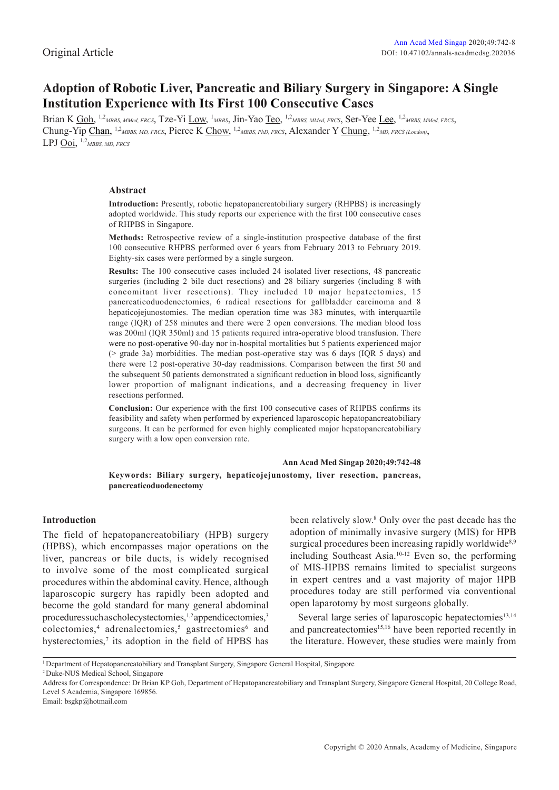# **Adoption of Robotic Liver, Pancreatic and Biliary Surgery in Singapore: A Single Institution Experience with Its First 100 Consecutive Cases**

Brian K Goh, <sup>1,2</sup>MBBS, MMed, FRCS, Tze-Yi Low, <sup>1</sup>MBBS, Jin-Yao Teo, <sup>1,2</sup>MBBS, MMed, FRCS, Ser-Yee Lee, <sup>1,2</sup>MBBS, MMed, FRCS, Chung-Yip Chan, 1,2*MBBS, MD, FRCS*, Pierce K Chow, 1,2*MBBS, PhD, FRCS*, Alexander Y Chung, 1,2*MD, FRCS (London)*, LPJ Ooi, 1,2*MBBS, MD, FRCS*

### **Abstract**

**Introduction:** Presently, robotic hepatopancreatobiliary surgery (RHPBS) is increasingly adopted worldwide. This study reports our experience with the first 100 consecutive cases of RHPBS in Singapore.

**Methods:** Retrospective review of a single-institution prospective database of the first 100 consecutive RHPBS performed over 6 years from February 2013 to February 2019. Eighty-six cases were performed by a single surgeon.

**Results:** The 100 consecutive cases included 24 isolated liver resections, 48 pancreatic surgeries (including 2 bile duct resections) and 28 biliary surgeries (including 8 with concomitant liver resections). They included 10 major hepatectomies, 15 pancreaticoduodenectomies, 6 radical resections for gallbladder carcinoma and 8 hepaticojejunostomies. The median operation time was 383 minutes, with interquartile range (IQR) of 258 minutes and there were 2 open conversions. The median blood loss was 200ml (IQR 350ml) and 15 patients required intra-operative blood transfusion. There were no post-operative 90-day nor in-hospital mortalities but 5 patients experienced major (> grade 3a) morbidities. The median post-operative stay was 6 days (IQR 5 days) and there were 12 post-operative 30-day readmissions. Comparison between the first 50 and the subsequent 50 patients demonstrated a significant reduction in blood loss, significantly lower proportion of malignant indications, and a decreasing frequency in liver resections performed.

**Conclusion:** Our experience with the first 100 consecutive cases of RHPBS confirms its feasibility and safety when performed by experienced laparoscopic hepatopancreatobiliary surgeons. It can be performed for even highly complicated major hepatopancreatobiliary surgery with a low open conversion rate.

#### **Ann Acad Med Singap 2020;49:742-48**

**Keywords: Biliary surgery, hepaticojejunostomy, liver resection, pancreas, pancreaticoduodenectomy**

## **Introduction**

The field of hepatopancreatobiliary (HPB) surgery (HPBS), which encompasses major operations on the liver, pancreas or bile ducts, is widely recognised to involve some of the most complicated surgical procedures within the abdominal cavity. Hence, although laparoscopic surgery has rapidly been adopted and become the gold standard for many general abdominal procedures such as cholecy stectomies,<sup>1,2</sup> appendicectomies,<sup>3</sup> colectomies,<sup>4</sup> adrenalectomies,<sup>5</sup> gastrectomies<sup>6</sup> and hysterectomies,<sup>7</sup> its adoption in the field of HPBS has

been relatively slow.8 Only over the past decade has the adoption of minimally invasive surgery (MIS) for HPB surgical procedures been increasing rapidly worldwide<sup>8,9</sup> including Southeast Asia.10-12 Even so, the performing of MIS-HPBS remains limited to specialist surgeons in expert centres and a vast majority of major HPB procedures today are still performed via conventional open laparotomy by most surgeons globally.

Several large series of laparoscopic hepatectomies<sup>13,14</sup> and pancreatectomies<sup>15,16</sup> have been reported recently in the literature. However, these studies were mainly from

2 Duke-NUS Medical School, Singapore

Address for Correspondence: Dr Brian KP Goh, Department of Hepatopancreatobiliary and Transplant Surgery, Singapore General Hospital, 20 College Road, Level 5 Academia, Singapore 169856.

Email: bsgkp@hotmail.com

<sup>1</sup> Department of Hepatopancreatobiliary and Transplant Surgery, Singapore General Hospital, Singapore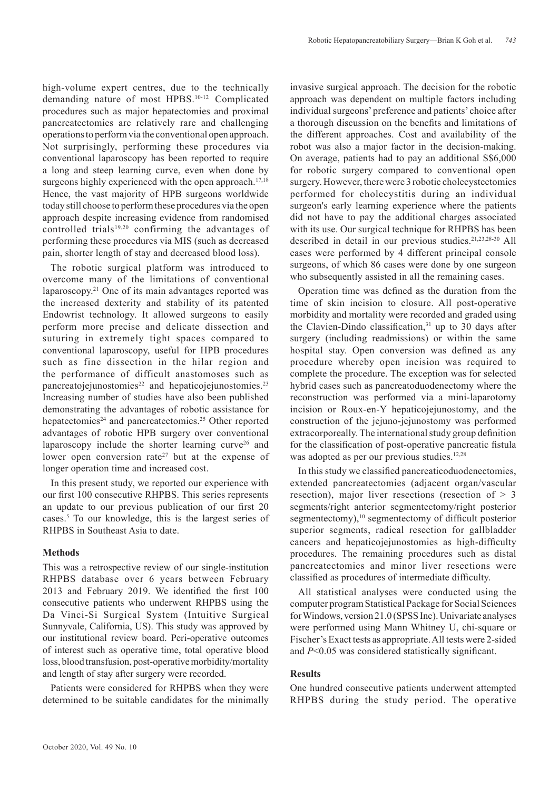high-volume expert centres, due to the technically demanding nature of most HPBS.10-12 Complicated procedures such as major hepatectomies and proximal pancreatectomies are relatively rare and challenging operations to perform via the conventional open approach. Not surprisingly, performing these procedures via conventional laparoscopy has been reported to require a long and steep learning curve, even when done by surgeons highly experienced with the open approach. $17,18$ Hence, the vast majority of HPB surgeons worldwide today still choose to perform these procedures via the open approach despite increasing evidence from randomised controlled trials<sup>19,20</sup> confirming the advantages of performing these procedures via MIS (such as decreased pain, shorter length of stay and decreased blood loss).

The robotic surgical platform was introduced to overcome many of the limitations of conventional laparoscopy.21 One of its main advantages reported was the increased dexterity and stability of its patented Endowrist technology. It allowed surgeons to easily perform more precise and delicate dissection and suturing in extremely tight spaces compared to conventional laparoscopy, useful for HPB procedures such as fine dissection in the hilar region and the performance of difficult anastomoses such as pancreatojejunostomies<sup>22</sup> and hepaticojejunostomies.<sup>23</sup> Increasing number of studies have also been published demonstrating the advantages of robotic assistance for hepatectomies<sup>24</sup> and pancreatectomies.<sup>25</sup> Other reported advantages of robotic HPB surgery over conventional laparoscopy include the shorter learning curve<sup>26</sup> and lower open conversion rate<sup>27</sup> but at the expense of longer operation time and increased cost.

In this present study, we reported our experience with our first 100 consecutive RHPBS. This series represents an update to our previous publication of our first 20 cases.5 To our knowledge, this is the largest series of RHPBS in Southeast Asia to date.

#### **Methods**

This was a retrospective review of our single-institution RHPBS database over 6 years between February 2013 and February 2019. We identified the first 100 consecutive patients who underwent RHPBS using the Da Vinci-Si Surgical System (Intuitive Surgical Sunnyvale, California, US). This study was approved by our institutional review board. Peri-operative outcomes of interest such as operative time, total operative blood loss, blood transfusion, post-operative morbidity/mortality and length of stay after surgery were recorded.

Patients were considered for RHPBS when they were determined to be suitable candidates for the minimally invasive surgical approach. The decision for the robotic approach was dependent on multiple factors including individual surgeons' preference and patients' choice after a thorough discussion on the benefits and limitations of the different approaches. Cost and availability of the robot was also a major factor in the decision-making. On average, patients had to pay an additional S\$6,000 for robotic surgery compared to conventional open surgery. However, there were 3 robotic cholecystectomies performed for cholecystitis during an individual surgeon's early learning experience where the patients did not have to pay the additional charges associated with its use. Our surgical technique for RHPBS has been described in detail in our previous studies.21,23,28-30 All cases were performed by 4 different principal console surgeons, of which 86 cases were done by one surgeon who subsequently assisted in all the remaining cases.

Operation time was defined as the duration from the time of skin incision to closure. All post-operative morbidity and mortality were recorded and graded using the Clavien-Dindo classification,<sup>31</sup> up to 30 days after surgery (including readmissions) or within the same hospital stay. Open conversion was defined as any procedure whereby open incision was required to complete the procedure. The exception was for selected hybrid cases such as pancreatoduodenectomy where the reconstruction was performed via a mini-laparotomy incision or Roux-en-Y hepaticojejunostomy, and the construction of the jejuno-jejunostomy was performed extracorporeally. The international study group definition for the classification of post-operative pancreatic fistula was adopted as per our previous studies.<sup>12,28</sup>

In this study we classified pancreaticoduodenectomies, extended pancreatectomies (adjacent organ/vascular resection), major liver resections (resection of  $> 3$ segments/right anterior segmentectomy/right posterior segmentectomy),10 segmentectomy of difficult posterior superior segments, radical resection for gallbladder cancers and hepaticojejunostomies as high-difficulty procedures. The remaining procedures such as distal pancreatectomies and minor liver resections were classified as procedures of intermediate difficulty.

All statistical analyses were conducted using the computer program Statistical Package for Social Sciences for Windows, version 21.0 (SPSS Inc). Univariate analyses were performed using Mann Whitney U, chi-square or Fischer's Exact tests as appropriate. All tests were 2-sided and *P*<0.05 was considered statistically significant.

#### **Results**

One hundred consecutive patients underwent attempted RHPBS during the study period. The operative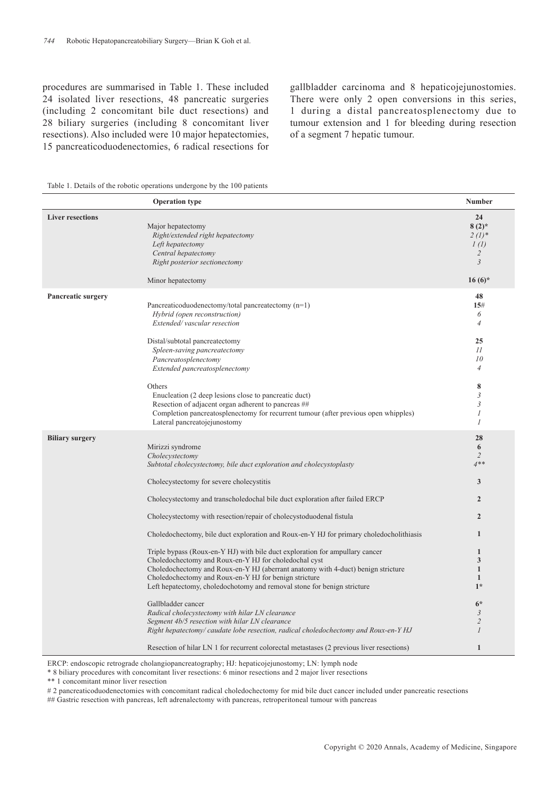procedures are summarised in Table 1. These included 24 isolated liver resections, 48 pancreatic surgeries (including 2 concomitant bile duct resections) and 28 biliary surgeries (including 8 concomitant liver resections). Also included were 10 major hepatectomies, 15 pancreaticoduodenectomies, 6 radical resections for gallbladder carcinoma and 8 hepaticojejunostomies. There were only 2 open conversions in this series, 1 during a distal pancreatosplenectomy due to tumour extension and 1 for bleeding during resection of a segment 7 hepatic tumour.

|  |  |  |  |  |  |  | Table 1. Details of the robotic operations undergone by the 100 patients |  |  |  |  |
|--|--|--|--|--|--|--|--------------------------------------------------------------------------|--|--|--|--|
|--|--|--|--|--|--|--|--------------------------------------------------------------------------|--|--|--|--|

|                         | <b>Operation type</b>                                                                                                                                                                                                                                                                                                                                                                                                                                                                                                                                                                                                                                                                                                                                                                                                                                                                                                                                                                                                                                                                     | Number                                                                                                                                                                                                                     |
|-------------------------|-------------------------------------------------------------------------------------------------------------------------------------------------------------------------------------------------------------------------------------------------------------------------------------------------------------------------------------------------------------------------------------------------------------------------------------------------------------------------------------------------------------------------------------------------------------------------------------------------------------------------------------------------------------------------------------------------------------------------------------------------------------------------------------------------------------------------------------------------------------------------------------------------------------------------------------------------------------------------------------------------------------------------------------------------------------------------------------------|----------------------------------------------------------------------------------------------------------------------------------------------------------------------------------------------------------------------------|
| <b>Liver resections</b> | Major hepatectomy<br>Right/extended right hepatectomy<br>Left hepatectomy<br>Central hepatectomy<br>Right posterior sectionectomy<br>Minor hepatectomy                                                                                                                                                                                                                                                                                                                                                                                                                                                                                                                                                                                                                                                                                                                                                                                                                                                                                                                                    | 24<br>$8(2)$ *<br>$2(l)^*$<br>1(l)<br>$\overline{c}$<br>$\mathfrak{Z}$<br>$16(6)$ *                                                                                                                                        |
| Pancreatic surgery      | Pancreaticoduodenectomy/total pancreatectomy (n=1)<br>Hybrid (open reconstruction)<br>Extended/vascular resection<br>Distal/subtotal pancreatectomy<br>Spleen-saving pancreatectomy<br>Pancreatosplenectomy<br>Extended pancreatosplenectomy<br>Others<br>Enucleation (2 deep lesions close to pancreatic duct)<br>Resection of adjacent organ adherent to pancreas ##<br>Completion pancreatosplenectomy for recurrent tumour (after previous open whipples)<br>Lateral pancreatojejunostomy                                                                                                                                                                                                                                                                                                                                                                                                                                                                                                                                                                                             | 48<br>15#<br>6<br>$\overline{4}$<br>25<br>11<br>10<br>$\overline{4}$<br>8<br>3<br>3<br>1<br>1                                                                                                                              |
| <b>Biliary surgery</b>  | Mirizzi syndrome<br>Cholecystectomy<br>Subtotal cholecystectomy, bile duct exploration and cholecystoplasty<br>Cholecystectomy for severe cholecystitis<br>Cholecystectomy and transcholed ochal bile duct exploration after failed ERCP<br>Cholecystectomy with resection/repair of cholecystoduodenal fistula<br>Choledochectomy, bile duct exploration and Roux-en-Y HJ for primary choledocholithiasis<br>Triple bypass (Roux-en-Y HJ) with bile duct exploration for ampullary cancer<br>Choledochectomy and Roux-en-Y HJ for choledochal cyst<br>Choledochectomy and Roux-en-Y HJ (aberrant anatomy with 4-duct) benign stricture<br>Choledochectomy and Roux-en-Y HJ for benign stricture<br>Left hepatectomy, choledochotomy and removal stone for benign stricture<br>Gallbladder cancer<br>Radical cholecystectomy with hilar LN clearance<br>Segment 4b/5 resection with hilar LN clearance<br>Right hepatectomy/caudate lobe resection, radical choledochectomy and Roux-en-Y HJ<br>Resection of hilar LN 1 for recurrent colorectal metastases (2 previous liver resections) | 28<br>6<br>$\overline{2}$<br>$4**$<br>3<br>$\overline{2}$<br>$\overline{2}$<br>$\mathbf{1}$<br>1<br>3<br>$\mathbf{1}$<br>$\mathbf{1}$<br>$1*$<br>$6*$<br>$\mathfrak{Z}$<br>$\overline{2}$<br>$\mathcal{I}$<br>$\mathbf{1}$ |

ERCP: endoscopic retrograde cholangiopancreatography; HJ: hepaticojejunostomy; LN: lymph node

\* 8 biliary procedures with concomitant liver resections: 6 minor resections and 2 major liver resections

\*\* 1 concomitant minor liver resection

# 2 pancreaticoduodenectomies with concomitant radical choledochectomy for mid bile duct cancer included under pancreatic resections

## Gastric resection with pancreas, left adrenalectomy with pancreas, retroperitoneal tumour with pancreas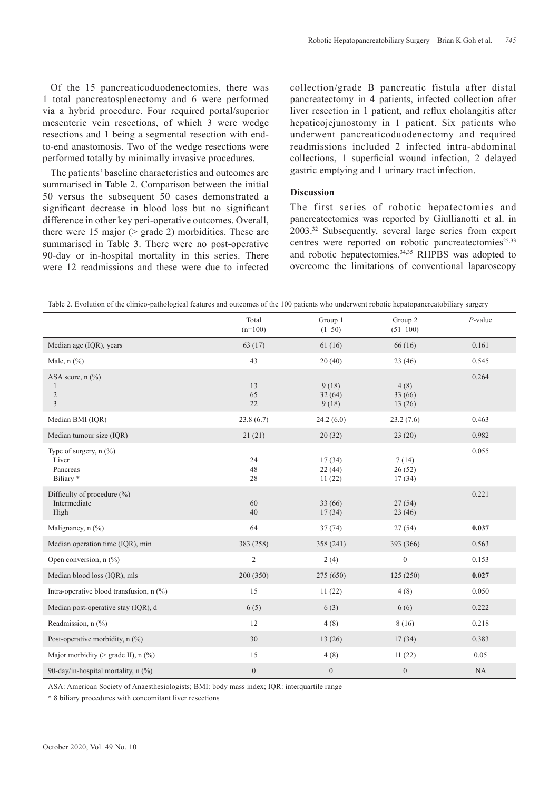Of the 15 pancreaticoduodenectomies, there was 1 total pancreatosplenectomy and 6 were performed via a hybrid procedure. Four required portal/superior mesenteric vein resections, of which 3 were wedge resections and 1 being a segmental resection with endto-end anastomosis. Two of the wedge resections were performed totally by minimally invasive procedures.

The patients' baseline characteristics and outcomes are summarised in Table 2. Comparison between the initial 50 versus the subsequent 50 cases demonstrated a significant decrease in blood loss but no significant difference in other key peri-operative outcomes. Overall, there were 15 major (> grade 2) morbidities. These are summarised in Table 3. There were no post-operative 90-day or in-hospital mortality in this series. There were 12 readmissions and these were due to infected collection/grade B pancreatic fistula after distal pancreatectomy in 4 patients, infected collection after liver resection in 1 patient, and reflux cholangitis after hepaticojejunostomy in 1 patient. Six patients who underwent pancreaticoduodenectomy and required readmissions included 2 infected intra-abdominal collections, 1 superficial wound infection, 2 delayed gastric emptying and 1 urinary tract infection.

#### **Discussion**

The first series of robotic hepatectomies and pancreatectomies was reported by Giullianotti et al. in 2003.32 Subsequently, several large series from expert centres were reported on robotic pancreatectomies<sup>25,33</sup> and robotic hepatectomies.34,35 RHPBS was adopted to overcome the limitations of conventional laparoscopy

| Table 2. Evolution of the clinico-pathological features and outcomes of the 100 patients who underwent robotic hepatopancreatobiliary surgery |  |  |
|-----------------------------------------------------------------------------------------------------------------------------------------------|--|--|
|-----------------------------------------------------------------------------------------------------------------------------------------------|--|--|

|                                                                               | Total<br>$(n=100)$ | Group 1<br>$(1-50)$        | Group 2<br>$(51-100)$     | $P$ -value |
|-------------------------------------------------------------------------------|--------------------|----------------------------|---------------------------|------------|
| Median age (IQR), years                                                       | 63(17)             | 61(16)                     | 66(16)                    | 0.161      |
| Male, $n$ $(\%)$                                                              | 43                 | 20(40)                     | 23(46)                    | 0.545      |
| ASA score, $n$ $\left(\frac{9}{6}\right)$<br>$\overline{2}$<br>$\overline{3}$ | 13<br>65<br>22     | 9(18)<br>32(64)<br>9(18)   | 4(8)<br>33(66)<br>13(26)  | 0.264      |
| Median BMI (IQR)                                                              | 23.8(6.7)          | 24.2(6.0)                  | 23.2(7.6)                 | 0.463      |
| Median tumour size (IQR)                                                      | 21(21)             | 20(32)                     | 23(20)                    | 0.982      |
| Type of surgery, $n$ (%)<br>Liver<br>Pancreas<br>Biliary *                    | 24<br>48<br>28     | 17(34)<br>22(44)<br>11(22) | 7(14)<br>26(52)<br>17(34) | 0.055      |
| Difficulty of procedure (%)<br>Intermediate<br>High                           | 60<br>40           | 33(66)<br>17(34)           | 27(54)<br>23(46)          | 0.221      |
| Malignancy, $n$ $\left(\frac{9}{6}\right)$                                    | 64                 | 37(74)                     | 27(54)                    | 0.037      |
| Median operation time (IQR), min                                              | 383 (258)          | 358 (241)                  | 393 (366)                 | 0.563      |
| Open conversion, $n$ $(\%)$                                                   | $\overline{2}$     | 2(4)                       | $\mathbf{0}$              | 0.153      |
| Median blood loss (IQR), mls                                                  | 200 (350)          | 275 (650)                  | 125(250)                  | 0.027      |
| Intra-operative blood transfusion, n (%)                                      | 15                 | 11(22)                     | 4(8)                      | 0.050      |
| Median post-operative stay (IQR), d                                           | 6(5)               | 6(3)                       | 6(6)                      | 0.222      |
| Readmission, $n$ $\left(\frac{9}{0}\right)$                                   | 12                 | 4(8)                       | 8(16)                     | 0.218      |
| Post-operative morbidity, $n$ (%)                                             | 30                 | 13(26)                     | 17(34)                    | 0.383      |
| Major morbidity ( $>$ grade II), n (%)                                        | 15                 | 4(8)                       | 11(22)                    | 0.05       |
| 90-day/in-hospital mortality, $n$ (%)                                         | $\overline{0}$     | $\boldsymbol{0}$           | $\mathbf{0}$              | NA         |

ASA: American Society of Anaesthesiologists; BMI: body mass index; IQR: interquartile range

\* 8 biliary procedures with concomitant liver resections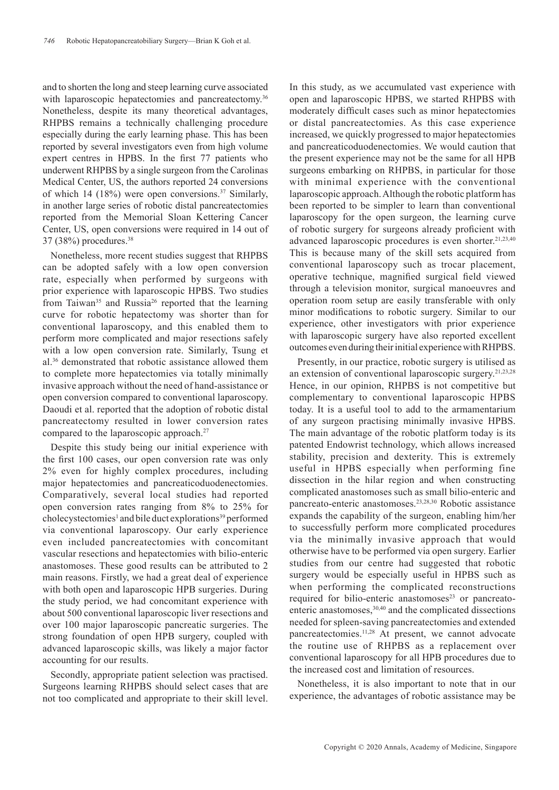and to shorten the long and steep learning curve associated with laparoscopic hepatectomies and pancreatectomy.<sup>36</sup> Nonetheless, despite its many theoretical advantages, RHPBS remains a technically challenging procedure especially during the early learning phase. This has been reported by several investigators even from high volume expert centres in HPBS. In the first 77 patients who underwent RHPBS by a single surgeon from the Carolinas Medical Center, US, the authors reported 24 conversions of which 14 (18%) were open conversions.37 Similarly, in another large series of robotic distal pancreatectomies reported from the Memorial Sloan Kettering Cancer Center, US, open conversions were required in 14 out of 37 (38%) procedures.38

Nonetheless, more recent studies suggest that RHPBS can be adopted safely with a low open conversion rate, especially when performed by surgeons with prior experience with laparoscopic HPBS. Two studies from Taiwan<sup>35</sup> and Russia<sup>26</sup> reported that the learning curve for robotic hepatectomy was shorter than for conventional laparoscopy, and this enabled them to perform more complicated and major resections safely with a low open conversion rate. Similarly, Tsung et al.36 demonstrated that robotic assistance allowed them to complete more hepatectomies via totally minimally invasive approach without the need of hand-assistance or open conversion compared to conventional laparoscopy. Daoudi et al. reported that the adoption of robotic distal pancreatectomy resulted in lower conversion rates compared to the laparoscopic approach.<sup>27</sup>

Despite this study being our initial experience with the first 100 cases, our open conversion rate was only 2% even for highly complex procedures, including major hepatectomies and pancreaticoduodenectomies. Comparatively, several local studies had reported open conversion rates ranging from 8% to 25% for cholecystectomies<sup>1</sup> and bile duct explorations<sup>39</sup> performed via conventional laparoscopy. Our early experience even included pancreatectomies with concomitant vascular resections and hepatectomies with bilio-enteric anastomoses. These good results can be attributed to 2 main reasons. Firstly, we had a great deal of experience with both open and laparoscopic HPB surgeries. During the study period, we had concomitant experience with about 500 conventional laparoscopic liver resections and over 100 major laparoscopic pancreatic surgeries. The strong foundation of open HPB surgery, coupled with advanced laparoscopic skills, was likely a major factor accounting for our results.

Secondly, appropriate patient selection was practised. Surgeons learning RHPBS should select cases that are not too complicated and appropriate to their skill level.

In this study, as we accumulated vast experience with open and laparoscopic HPBS, we started RHPBS with moderately difficult cases such as minor hepatectomies or distal pancreatectomies. As this case experience increased, we quickly progressed to major hepatectomies and pancreaticoduodenectomies. We would caution that the present experience may not be the same for all HPB surgeons embarking on RHPBS, in particular for those with minimal experience with the conventional laparoscopic approach. Although the robotic platform has been reported to be simpler to learn than conventional laparoscopy for the open surgeon, the learning curve of robotic surgery for surgeons already proficient with advanced laparoscopic procedures is even shorter.<sup>21,23,40</sup> This is because many of the skill sets acquired from conventional laparoscopy such as trocar placement, operative technique, magnified surgical field viewed through a television monitor, surgical manoeuvres and operation room setup are easily transferable with only minor modifications to robotic surgery. Similar to our experience, other investigators with prior experience with laparoscopic surgery have also reported excellent outcomes even during their initial experience with RHPBS.

Presently, in our practice, robotic surgery is utilised as an extension of conventional laparoscopic surgery.21,23,28 Hence, in our opinion, RHPBS is not competitive but complementary to conventional laparoscopic HPBS today. It is a useful tool to add to the armamentarium of any surgeon practising minimally invasive HPBS. The main advantage of the robotic platform today is its patented Endowrist technology, which allows increased stability, precision and dexterity. This is extremely useful in HPBS especially when performing fine dissection in the hilar region and when constructing complicated anastomoses such as small bilio-enteric and pancreato-enteric anastomoses.23,28,30 Robotic assistance expands the capability of the surgeon, enabling him/her to successfully perform more complicated procedures via the minimally invasive approach that would otherwise have to be performed via open surgery. Earlier studies from our centre had suggested that robotic surgery would be especially useful in HPBS such as when performing the complicated reconstructions required for bilio-enteric anastomoses<sup>23</sup> or pancreatoenteric anastomoses,<sup>30,40</sup> and the complicated dissections needed for spleen-saving pancreatectomies and extended pancreatectomies.11,28 At present, we cannot advocate the routine use of RHPBS as a replacement over conventional laparoscopy for all HPB procedures due to the increased cost and limitation of resources.

Nonetheless, it is also important to note that in our experience, the advantages of robotic assistance may be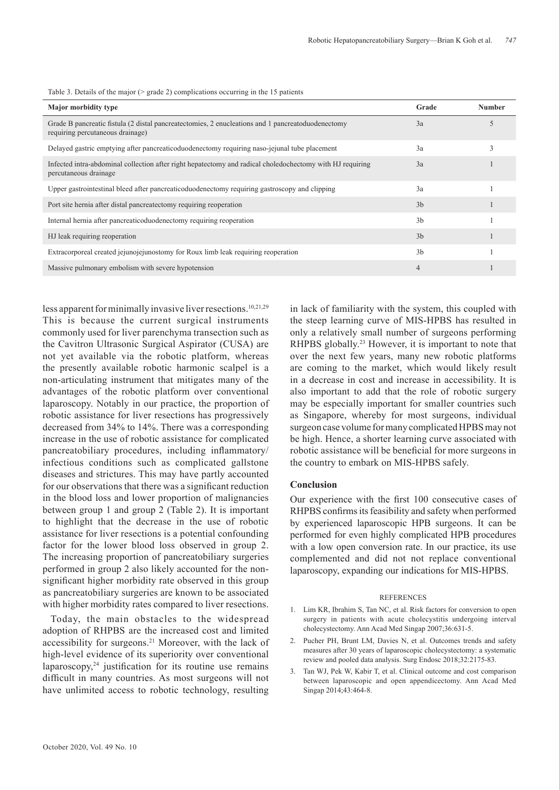Table 3. Details of the major (> grade 2) complications occurring in the 15 patients

| <b>Major morbidity type</b>                                                                                                           | Grade          | <b>Number</b> |
|---------------------------------------------------------------------------------------------------------------------------------------|----------------|---------------|
| Grade B pancreatic fistula (2 distal pancreatectomies, 2 enucleations and 1 pancreatoduodenectomy<br>requiring percutaneous drainage) | 3a             |               |
| Delayed gastric emptying after pancreaticoduodenectomy requiring naso-jejunal tube placement                                          | 3a             |               |
| Infected intra-abdominal collection after right hepatectomy and radical choledochectomy with HJ requiring<br>percutaneous drainage    | 3a             |               |
| Upper gastrointestinal bleed after pancreaticoduodenectomy requiring gastroscopy and clipping                                         | 3a             |               |
| Port site hernia after distal pancreatectomy requiring reoperation                                                                    | 3 <sub>b</sub> |               |
| Internal hernia after pancreaticoduodenectomy requiring reoperation                                                                   | 3 <sub>b</sub> |               |
| HJ leak requiring reoperation                                                                                                         | 3 <sub>b</sub> |               |
| Extracorporeal created jejunojejunostomy for Roux limb leak requiring reoperation                                                     | 3 <sub>b</sub> |               |
| Massive pulmonary embolism with severe hypotension                                                                                    | $\overline{4}$ |               |

less apparent for minimally invasive liver resections.<sup>10,21,29</sup> This is because the current surgical instruments commonly used for liver parenchyma transection such as the Cavitron Ultrasonic Surgical Aspirator (CUSA) are not yet available via the robotic platform, whereas the presently available robotic harmonic scalpel is a non-articulating instrument that mitigates many of the advantages of the robotic platform over conventional laparoscopy. Notably in our practice, the proportion of robotic assistance for liver resections has progressively decreased from 34% to 14%. There was a corresponding increase in the use of robotic assistance for complicated pancreatobiliary procedures, including inflammatory/ infectious conditions such as complicated gallstone diseases and strictures. This may have partly accounted for our observations that there was a significant reduction in the blood loss and lower proportion of malignancies between group 1 and group 2 (Table 2). It is important to highlight that the decrease in the use of robotic assistance for liver resections is a potential confounding factor for the lower blood loss observed in group 2. The increasing proportion of pancreatobiliary surgeries performed in group 2 also likely accounted for the nonsignificant higher morbidity rate observed in this group as pancreatobiliary surgeries are known to be associated with higher morbidity rates compared to liver resections.

Today, the main obstacles to the widespread adoption of RHPBS are the increased cost and limited accessibility for surgeons.<sup>21</sup> Moreover, with the lack of high-level evidence of its superiority over conventional laparoscopy, $24$  justification for its routine use remains difficult in many countries. As most surgeons will not have unlimited access to robotic technology, resulting

in lack of familiarity with the system, this coupled with the steep learning curve of MIS-HPBS has resulted in only a relatively small number of surgeons performing RHPBS globally.<sup>23</sup> However, it is important to note that over the next few years, many new robotic platforms are coming to the market, which would likely result in a decrease in cost and increase in accessibility. It is also important to add that the role of robotic surgery may be especially important for smaller countries such as Singapore, whereby for most surgeons, individual surgeon case volume for many complicated HPBS may not be high. Hence, a shorter learning curve associated with robotic assistance will be beneficial for more surgeons in the country to embark on MIS-HPBS safely.

### **Conclusion**

Our experience with the first 100 consecutive cases of RHPBS confirms its feasibility and safety when performed by experienced laparoscopic HPB surgeons. It can be performed for even highly complicated HPB procedures with a low open conversion rate. In our practice, its use complemented and did not not replace conventional laparoscopy, expanding our indications for MIS-HPBS.

#### REFERENCES

- 1. Lim KR, Ibrahim S, Tan NC, et al. Risk factors for conversion to open surgery in patients with acute cholecystitis undergoing interval cholecystectomy. Ann Acad Med Singap 2007;36:631-5.
- 2. Pucher PH, Brunt LM, Davies N, et al. Outcomes trends and safety measures after 30 years of laparoscopic cholecystectomy: a systematic review and pooled data analysis. Surg Endosc 2018;32:2175-83.
- 3. Tan WJ, Pek W, Kabir T, et al. Clinical outcome and cost comparison between laparoscopic and open appendicectomy. Ann Acad Med Singap 2014;43:464-8.